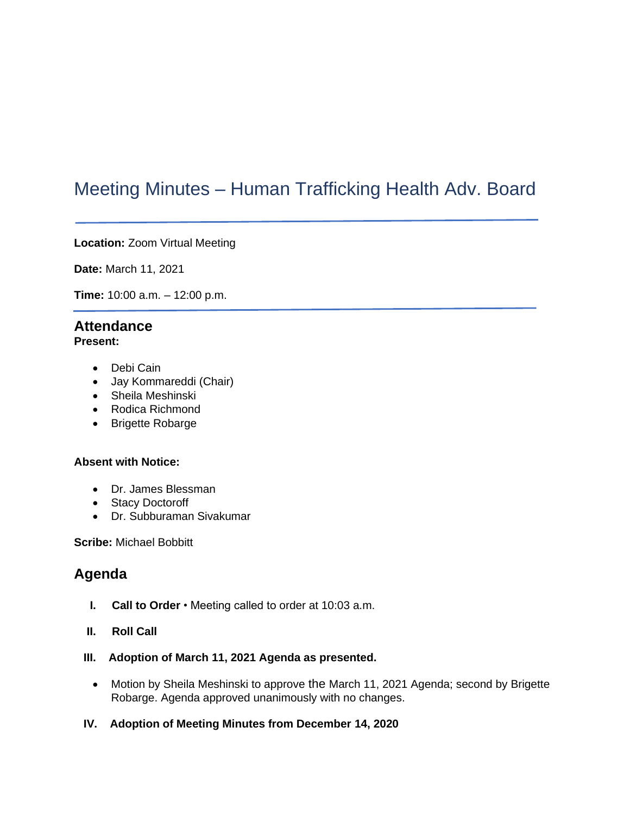# Meeting Minutes – Human Trafficking Health Adv. Board

**Location:** Zoom Virtual Meeting

**Date:** March 11, 2021

**Time:** 10:00 a.m. – 12:00 p.m.

# **Attendance**

- **Present:** 
	- Debi Cain
	- Jay Kommareddi (Chair)
	- Sheila Meshinski
	- Rodica Richmond
	- Brigette Robarge

#### **Absent with Notice:**

- Dr. James Blessman
- Stacy Doctoroff
- Dr. Subburaman Sivakumar

**Scribe:** Michael Bobbitt

## **Agenda**

- **I. Call to Order**  Meeting called to order at 10:03 a.m.
- **II. Roll Call**
- **III. Adoption of March 11, 2021 Agenda as presented.**
	- Motion by Sheila Meshinski to approve the March 11, 2021 Agenda; second by Brigette Robarge. Agenda approved unanimously with no changes.
- **IV. Adoption of Meeting Minutes from December 14, 2020**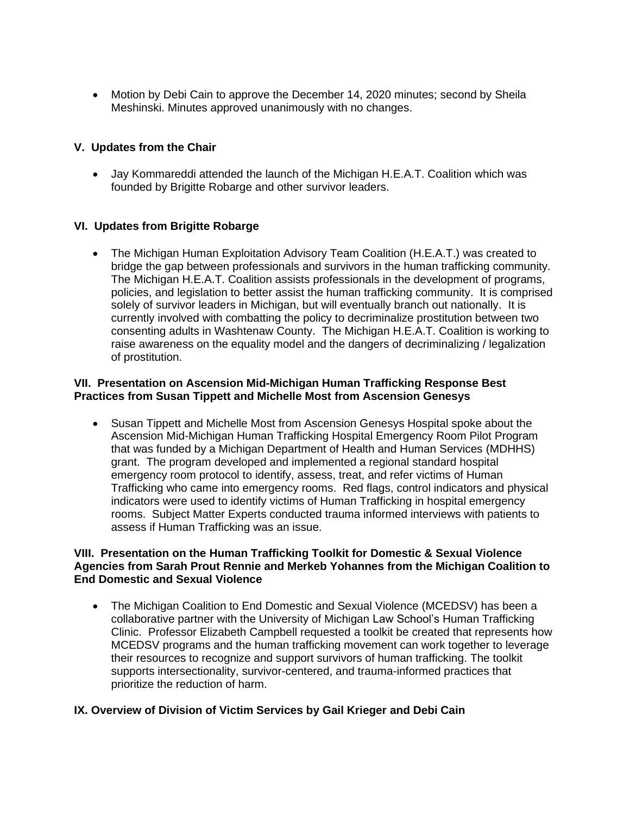• Motion by Debi Cain to approve the December 14, 2020 minutes; second by Sheila Meshinski. Minutes approved unanimously with no changes.

#### **V. Updates from the Chair**

• Jay Kommareddi attended the launch of the Michigan H.E.A.T. Coalition which was founded by Brigitte Robarge and other survivor leaders.

#### **VI. Updates from Brigitte Robarge**

• The Michigan Human Exploitation Advisory Team Coalition (H.E.A.T.) was created to bridge the gap between professionals and survivors in the human trafficking community. The Michigan H.E.A.T. Coalition assists professionals in the development of programs, policies, and legislation to better assist the human trafficking community. It is comprised solely of survivor leaders in Michigan, but will eventually branch out nationally. It is currently involved with combatting the policy to decriminalize prostitution between two consenting adults in Washtenaw County. The Michigan H.E.A.T. Coalition is working to raise awareness on the equality model and the dangers of decriminalizing / legalization of prostitution.

#### **VII. Presentation on Ascension Mid-Michigan Human Trafficking Response Best Practices from Susan Tippett and Michelle Most from Ascension Genesys**

• Susan Tippett and Michelle Most from Ascension Genesys Hospital spoke about the Ascension Mid-Michigan Human Trafficking Hospital Emergency Room Pilot Program that was funded by a Michigan Department of Health and Human Services (MDHHS) grant. The program developed and implemented a regional standard hospital emergency room protocol to identify, assess, treat, and refer victims of Human Trafficking who came into emergency rooms. Red flags, control indicators and physical indicators were used to identify victims of Human Trafficking in hospital emergency rooms. Subject Matter Experts conducted trauma informed interviews with patients to assess if Human Trafficking was an issue.

#### **VIII. Presentation on the Human Trafficking Toolkit for Domestic & Sexual Violence Agencies from Sarah Prout Rennie and Merkeb Yohannes from the Michigan Coalition to End Domestic and Sexual Violence**

• The Michigan Coalition to End Domestic and Sexual Violence (MCEDSV) has been a collaborative partner with the University of Michigan Law School's Human Trafficking Clinic. Professor Elizabeth Campbell requested a toolkit be created that represents how MCEDSV programs and the human trafficking movement can work together to leverage their resources to recognize and support survivors of human trafficking. The toolkit supports intersectionality, survivor-centered, and trauma-informed practices that prioritize the reduction of harm.

#### **IX. Overview of Division of Victim Services by Gail Krieger and Debi Cain**